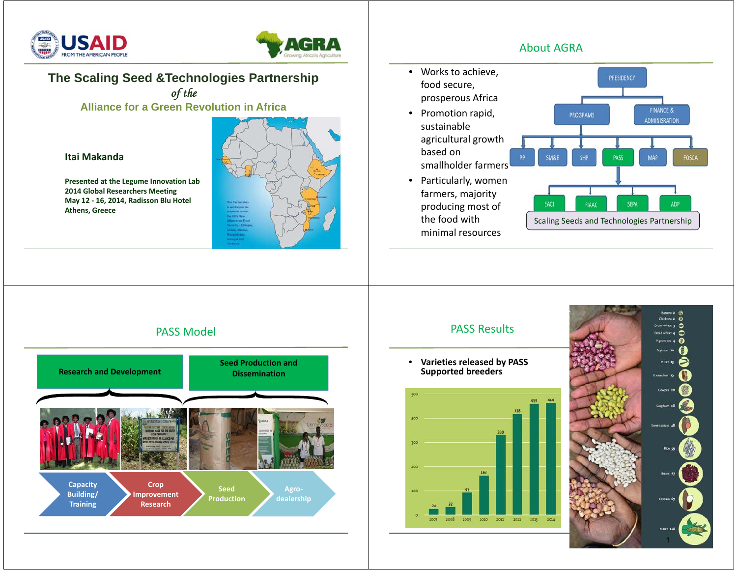



**The Scaling Seed &Technologies Partnership** *of the* **Alliance for a Green Revolution in Africa**

### **Itai Makanda**

**Presented at the Legume Innovation Lab 2014 Global Researchers Meeting May 12 - 16, 2014, Radisson Blu Hotel Athens, Greece**



### About AGRA

- Works to achieve, food secure, prosperous Africa
- Promotion rapid, sustainable agricultural growth based on smallholder farmers
- Particularly, women farmers, majority producing most of the food with minimal resources



# PASS Model





PASS Results

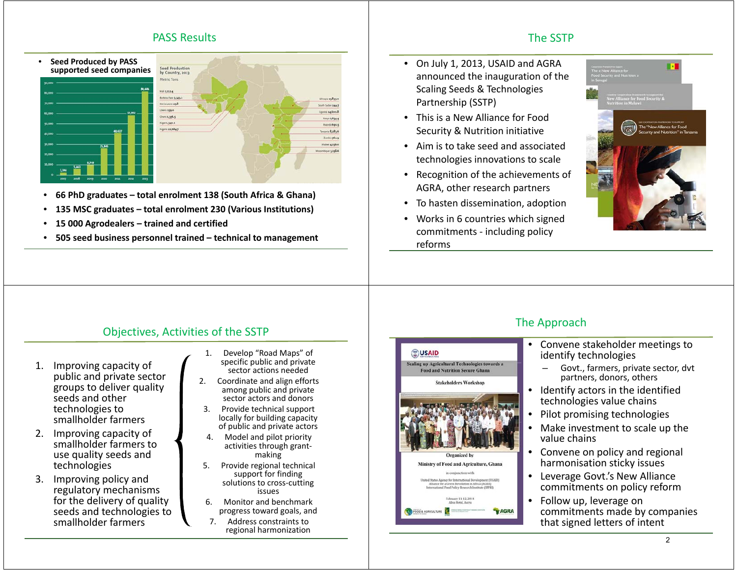### PASS Results



- •**66 PhD graduates – total enrolment 138 (South Africa & Ghana)**
- •**135 MSC graduates – total enrolment 230 (Various Institutions)**
- •**15 000 Agrodealers – trained and certified**
- •**505 seed business personnel trained – technical to management**

# The SSTP

- On July 1, 2013, USAID and AGRA announced the inauguration of the Scaling Seeds & Technologies Partnership (SSTP)
- This is a New Alliance for Food Security & Nutrition initiative
- Aim is to take seed and associated technologies innovations to scale
- Recognition of the achievements of AGRA, other research partners
- To hasten dissemination, adoption
- Works in 6 countries which signed commitments - including policy reforms



# Objectives, Activities of the SSTP

- 1. Improving capacity of public and private sector groups to deliver quality seeds and other technologies to smallholder farmers
- 2. Improving capacity of smallholder farmers to use quality seeds and technologies
- 3. Improving policy and regulatory mechanisms for the delivery of quality seeds and technologies to smallholder farmers
- 1. Develop "Road Maps" of specific public and private sector actions needed
- 2. Coordinate and align efforts among public and private sector actors and donors
- 3. Provide technical support locally for building capacity of public and private actors
- 4. Model and pilot priority activities through grantmaking
- 5. Provide regional technical support for finding solutions to cross-cutting issues
- 6. Monitor and benchmark progress toward goals, and
- 7. Address constraints to regional harmonization

### The Approach

•

# **OUSAID**

icaling up Agricultural Technologies town **Food and Nutrition Secure Ghana** 



**RAGRA** 

- Convene stakeholder meetings to identify technologies
- – Govt., farmers, private sector, dvt partners, donors, others
- • Identify actors in the identified technologies value chains
- •Pilot promising technologies
- • Make investment to scale up the value chains
- • Convene on policy and regional harmonisation sticky issues
- • Leverage Govt.'s New Alliance commitments on policy reform
- • Follow up, leverage on commitments made by companies that signed letters of intent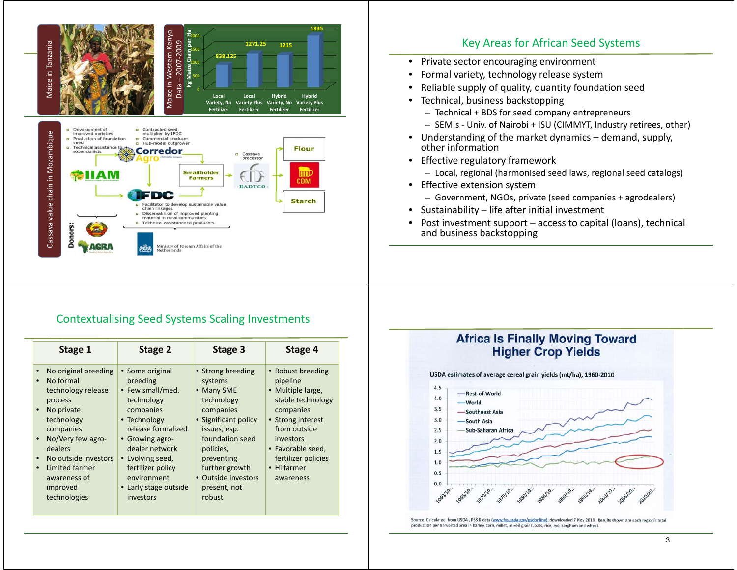

- 
- 
- 
- • Technical, business backstopping
	- Technical + BDS for seed company entrepreneurs
	- SEMIs Univ. of Nairobi + ISU (CIMMYT, Industry retirees, other)
- Understanding of the market dynamics demand, supply, other information
- Effective regulatory framework
	- Local, regional (harmonised seed laws, regional seed catalogs)
- Effective extension system
	- Government, NGOs, private (seed companies + agrodealers)
- Sustainability life after initial investment
- Post investment support access to capital (loans), technical and business backstopping

# Contextualising Seed Systems Scaling Investments

| Stage 1                                                                                                                                                                                                                                                                                                         | Stage 2                                                                                                                                                                                                                                             | Stage 3                                                                                                                                                                                                                        | Stage 4                                                                                                                                                                                                        |
|-----------------------------------------------------------------------------------------------------------------------------------------------------------------------------------------------------------------------------------------------------------------------------------------------------------------|-----------------------------------------------------------------------------------------------------------------------------------------------------------------------------------------------------------------------------------------------------|--------------------------------------------------------------------------------------------------------------------------------------------------------------------------------------------------------------------------------|----------------------------------------------------------------------------------------------------------------------------------------------------------------------------------------------------------------|
| No original breeding<br>$\bullet$<br>No formal<br>$\bullet$<br>technology release<br>process<br>No private<br>$\bullet$<br>technology<br>companies<br>No/Very few agro-<br>$\bullet$<br>dealers<br>No outside investors<br>$\bullet$<br>Limited farmer<br>$\bullet$<br>awareness of<br>improved<br>technologies | • Some original<br>breeding<br>• Few small/med.<br>technology<br>companies<br>• Technology<br>release formalized<br>• Growing agro-<br>dealer network<br>• Evolving seed,<br>fertilizer policy<br>environment<br>• Early stage outside<br>investors | • Strong breeding<br>systems<br>• Many SME<br>technology<br>companies<br>• Significant policy<br>issues, esp.<br>foundation seed<br>policies,<br>preventing<br>further growth<br>• Outside investors<br>present, not<br>robust | • Robust breeding<br>pipeline<br>• Multiple large,<br>stable technology<br>companies<br>• Strong interest<br>from outside<br>investors<br>• Favorable seed,<br>fertilizer policies<br>• Hi farmer<br>awareness |

### **Africa Is Finally Moving Toward Higher Crop Yields**

USDA estimates of average cereal grain yields (mt/ha), 1960-2010



Source: Calculated from USDA, PS&D data (www.fas.usda.gov/psdonline), downloaded 7 Nov 2010. Results shown are each region's total production per harvested area in barley, corn, millet, mixed grains, oats, rice, rye, sorghum and wheat.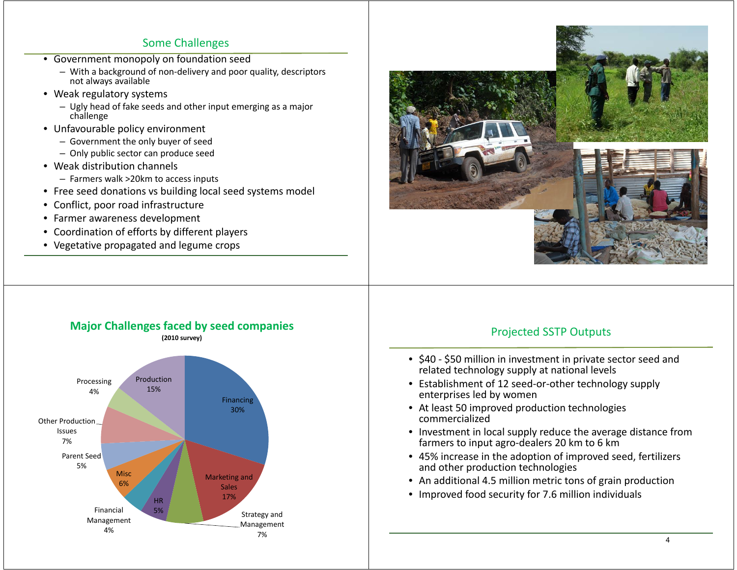### Some Challenges

- Government monopoly on foundation seed
	- With a background of non-delivery and poor quality, descriptors not always available
- Weak regulatory systems
	- Ugly head of fake seeds and other input emerging as a major challenge
- Unfavourable policy environment
	- Government the only buyer of seed
	- Only public sector can produce seed
- Weak distribution channels
	- Farmers walk >20km to access inputs
- Free seed donations vs building local seed systems model
- Conflict, poor road infrastructure
- Farmer awareness development
- Coordination of efforts by different players
- Vegetative propagated and legume crops



### **Major Challenges faced by seed companies (2010 survey)** Projected SSTP Outputs

![](_page_3_Figure_17.jpeg)

- \$40 \$50 million in investment in private sector seed and related technology supply at national levels
- Establishment of 12 seed-or-other technology supply enterprises led by women
- At least 50 improved production technologies commercialized
- Investment in local supply reduce the average distance from farmers to input agro-dealers 20 km to 6 km
- 45% increase in the adoption of improved seed, fertilizers and other production technologies
- An additional 4.5 million metric tons of grain production
- Improved food security for 7.6 million individuals